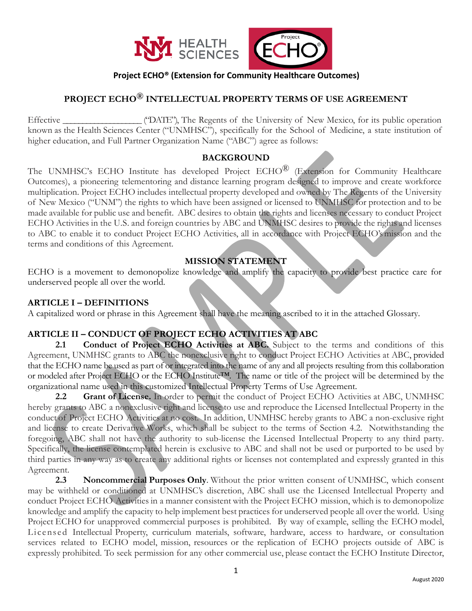

# **Project ECHO® (Extension for Community Healthcare Outcomes)**

# **PROJECT ECHO® INTELLECTUAL PROPERTY TERMS OF USE AGREEMENT**

Effective ("DATE"), The Regents of the University of New Mexico, for its public operation known as the Health Sciences Center ("UNMHSC"), specifically for the School of Medicine, a state institution of higher education, and Full Partner Organization Name ("ABC") agree as follows:

#### **BACKGROUND**

The UNMHSC's ECHO Institute has developed Project ECHO<sup>®</sup> (Extension for Community Healthcare Outcomes), a pioneering telementoring and distance learning program designed to improve and create workforce multiplication. Project ECHO includes intellectual property developed and owned by The Regents of the University of New Mexico ("UNM") the rights to which have been assigned or licensed to UNMHSC for protection and to be made available for public use and benefit. ABC desires to obtain the rights and licenses necessary to conduct Project ECHO Activities in the U.S. and foreign countries by ABC and UNMHSC desires to provide the rights and licenses to ABC to enable it to conduct Project ECHO Activities, all in accordance with Project ECHO's mission and the terms and conditions of this Agreement.

### **MISSION STATEMENT**

ECHO is a movement to demonopolize knowledge and amplify the capacity to provide best practice care for underserved people all over the world.

#### **ARTICLE I – DEFINITIONS**

A capitalized word or phrase in this Agreement shall have the meaning ascribed to it in the attached Glossary.

### **ARTICLE II – CONDUCT OF PROJECT ECHO ACTIVITIES AT ABC**

2.1 **Conduct of Project ECHO Activities at ABC.** Subject to the terms and conditions of this Agreement, UNMHSC grants to ABC the nonexclusive right to conduct Project ECHO Activities at ABC, provided that the ECHO name be used as part of or integrated into the name of any and all projects resulting from this collaboration or modeled after Project ECHO or the ECHO Institute™. The name or title of the project will be determined by the organizational name used in this customized Intellectual Property Terms of Use Agreement.

**2.2 Grant of License.** In order to permit the conduct of Project ECHO Activities at ABC, UNMHSC hereby grants to ABC a nonexclusive right and license to use and reproduce the Licensed Intellectual Property in the conduct of Project ECHO Activities at no cost. In addition, UNMHSC hereby grants to ABC a non-exclusive right and license to create Derivative Works, which shall be subject to the terms of Section 4.2. Notwithstanding the foregoing, ABC shall not have the authority to sub-license the Licensed Intellectual Property to any third party. Specifically, the license contemplated herein is exclusive to ABC and shall not be used or purported to be used by third parties in any way as to create any additional rights or licenses not contemplated and expressly granted in this Agreement.

**2.3 Noncommercial Purposes Only**. Without the prior written consent of UNMHSC, which consent may be withheld or conditioned at UNMHSC's discretion, ABC shall use the Licensed Intellectual Property and conduct Project ECHO Activities in a manner consistent with the Project ECHO mission, which is to demonopolize knowledge and amplify the capacity to help implement best practices for underserved people all over the world. Using Project ECHO for unapproved commercial purposes is prohibited. By way of example, selling the ECHO model, Licensed Intellectual Property, curriculum materials, software, hardware, access to hardware, or consultation services related to ECHO model, mission, resources or the replication of ECHO projects outside of ABC is expressly prohibited. To seek permission for any other commercial use, please contact the ECHO Institute Director,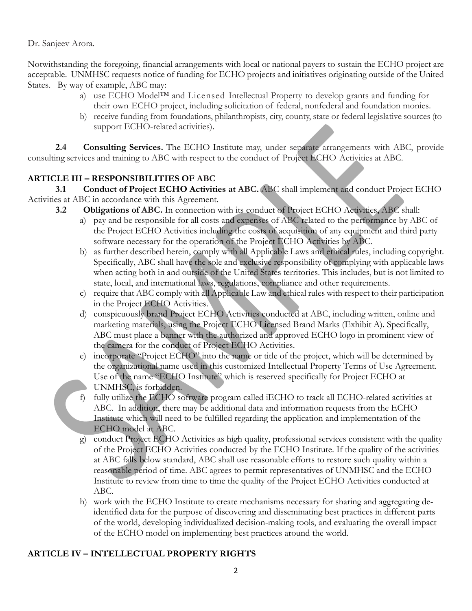Dr. Sanjeev Arora.

Notwithstanding the foregoing, financial arrangements with local or national payers to sustain the ECHO project are acceptable. UNMHSC requests notice of funding for ECHO projects and initiatives originating outside of the United States. By way of example, ABC may:

- a) use ECHO Model<sup>™</sup> and Licensed Intellectual Property to develop grants and funding for their own ECHO project, including solicitation of federal, nonfederal and foundation monies.
- b) receive funding from foundations, philanthropists, city, county, state or federal legislative sources (to support ECHO-related activities).

**2.4 Consulting Services.** The ECHO Institute may, under separate arrangements with ABC, provide consulting services and training to ABC with respect to the conduct of Project ECHO Activities at ABC.

# **ARTICLE III – RESPONSIBILITIES OF ABC**

**3.1 Conduct of Project ECHO Activities at ABC.** ABC shall implement and conduct Project ECHO Activities at ABC in accordance with this Agreement.

- **3.2 Obligations of ABC.** In connection with its conduct of Project ECHO Activities, ABC shall:
	- a) pay and be responsible for all costs and expenses of ABC related to the performance by ABC of the Project ECHO Activities including the costs of acquisition of any equipment and third party software necessary for the operation of the Project ECHO Activities by ABC.
	- b) as further described herein, comply with all Applicable Laws and ethical rules, including copyright. Specifically, ABC shall have the sole and exclusive responsibility of complying with applicable laws when acting both in and outside of the United States territories. This includes, but is not limited to state, local, and international laws, regulations, compliance and other requirements.
	- c) require that ABC comply with all Applicable Law and ethical rules with respect to their participation in the Project ECHO Activities.
	- d) conspicuously brand Project ECHO Activities conducted at ABC, including written, online and marketing materials, using the Project ECHO Licensed Brand Marks (Exhibit A). Specifically, ABC must place a banner with the authorized and approved ECHO logo in prominent view of the camera for the conduct of Project ECHO Activities.
	- e) incorporate "Project ECHO" into the name or title of the project, which will be determined by the organizational name used in this customized Intellectual Property Terms of Use Agreement. Use of the name "ECHO Institute" which is reserved specifically for Project ECHO at UNMHSC, is forbidden.
	- f) fully utilize the ECHO software program called iECHO to track all ECHO-related activities at ABC. In addition, there may be additional data and information requests from the ECHO Institute which will need to be fulfilled regarding the application and implementation of the ECHO model at ABC.
	- g) conduct Project ECHO Activities as high quality, professional services consistent with the quality of the Project ECHO Activities conducted by the ECHO Institute. If the quality of the activities at ABC falls below standard, ABC shall use reasonable efforts to restore such quality within a reasonable period of time. ABC agrees to permit representatives of UNMHSC and the ECHO Institute to review from time to time the quality of the Project ECHO Activities conducted at ABC.
	- h) work with the ECHO Institute to create mechanisms necessary for sharing and aggregating deidentified data for the purpose of discovering and disseminating best practices in different parts of the world, developing individualized decision-making tools, and evaluating the overall impact of the ECHO model on implementing best practices around the world.

# **ARTICLE IV – INTELLECTUAL PROPERTY RIGHTS**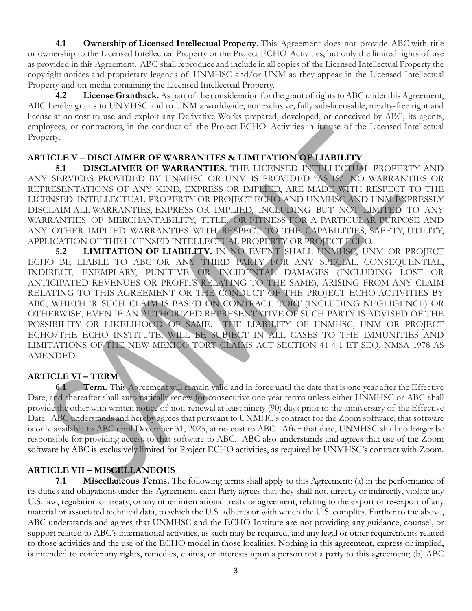**4.1 Ownership of Licensed Intellectual Property.** This Agreement does not provide ABC with title or ownership to the Licensed Intellectual Property or the Project ECHO Activities, but only the limited rights of use as provided in this Agreement. ABC shall reproduce and include in all copies of the Licensed Intellectual Property the copyright notices and proprietary legends of UNMHSC and/or UNM as they appear in the Licensed Intellectual Property and on media containing the Licensed Intellectual Property.

**4.2 License Grantback.** As part of the consideration for the grant of rights to ABC under this Agreement, ABC hereby grants to UNMHSC and to UNM a worldwide, nonexclusive, fully sub-licensable, royalty-free right and license at no cost to use and exploit any Derivative Works prepared, developed, or conceived by ABC, its agents, employees, or contractors, in the conduct of the Project ECHO Activities in its use of the Licensed Intellectual Property.

### **ARTICLE V – DISCLAIMER OF WARRANTIES & LIMITATION OF LIABILITY**

**5.1 DISCLAIMER OF WARRANTIES.** THE LICENSED INTELLECTUAL PROPERTY AND ANY SERVICES PROVIDED BY UNMHSC OR UNM IS PROVIDED "AS IS.' NO WARRANTIES OR REPRESENTATIONS OF ANY KIND, EXPRESS OR IMPLIED, ARE MADE WITH RESPECT TO THE LICENSED INTELLECTUAL PROPERTY OR PROJECT ECHO AND UNMHSC AND UNM EXPRESSLY DISCLAIM ALL WARRANTIES, EXPRESS OR IMPLIED, INCLUDING BUT NOT LIMITED TO ANY WARRANTIES OF MERCHANTABILITY, TITLE, OR FITNESS FOR A PARTICULAR PURPOSE AND ANY OTHER IMPLIED WARRANTIES WITH RESPECT TO THE CAPABILITIES, SAFETY, UTILITY, APPLICATION OF THE LICENSED INTELLECTUAL PROPERTY OR PROJECT ECHO.

**5.2 LIMITATION OF LIABILITY.** IN NO EVENT SHALL UNMHSC, UNM OR PROJECT ECHO BE LIABLE TO ABC OR ANY THIRD PARTY FOR ANY SPECIAL, CONSEQUENTIAL, INDIRECT, EXEMPLARY, PUNITIVE OR INCIDENTAL DAMAGES (INCLUDING LOST OR ANTICIPATED REVENUES OR PROFITS RELATING TO THE SAME), ARISING FROM ANY CLAIM RELATING TO THIS AGREEMENT OR THE CONDUCT OF THE PROJECT ECHO ACTIVITIES BY ABC, WHETHER SUCH CLAIM IS BASED ON CONTRACT, TORT (INCLUDING NEGLIGENCE) OR OTHERWISE, EVEN IF AN AUTHORIZED REPRESENTATIVE OF SUCH PARTY IS ADVISED OF THE POSSIBILITY OR LIKELIHOOD OF SAME. THE LIABILITY OF UNMHSC, UNM OR PROJECT ECHO/THE ECHO INSTITUTE, WILL BE SUBJECT IN ALL CASES TO THE IMMUNITIES AND LIMITATIONS OF THE NEW MEXICO TORT CLAIMS ACT SECTION 41-4-1 ET SEQ. NMSA 1978 AS AMENDED.

# **ARTICLE VI – TERM**

**6.1 Term.** This Agreement will remain valid and in force until the date that is one year after the Effective Date, and thereafter shall automatically renew for consecutive one year terms unless either UNMHSC or ABC shall provide the other with written notice of non-renewal at least ninety (90) days prior to the anniversary of the Effective Date. ABC understands and hereby agrees that pursuant to UNMHC's contract for the Zoom software, that software is only available to ABC until December 31, 2025, at no cost to ABC. After that date, UNMHSC shall no longer be responsible for providing access to that software to ABC. ABC also understands and agrees that use of the Zoom software by ABC is exclusively limited for Project ECHO activities, as required by UNMHSC's contract with Zoom.

# **ARTICLE VII – MISCELLANEOUS**

**7.1 Miscellaneous Terms.** The following terms shall apply to this Agreement: (a) in the performance of its duties and obligations under this Agreement, each Party agrees that they shall not, directly or indirectly, violate any U.S. law, regulation or treaty, or any other international treaty or agreement, relating to the export or re-export of any material or associated technical data, to which the U.S. adheres or with which the U.S. complies. Further to the above, ABC understands and agrees that UNMHSC and the ECHO Institute are not providing any guidance, counsel, or support related to ABC's international activities, as such may be required, and any legal or other requirements related to those activities and the use of the ECHO model in those localities. Nothing in this agreement, express or implied, is intended to confer any rights, remedies, claims, or interests upon a person not a party to this agreement; (b) ABC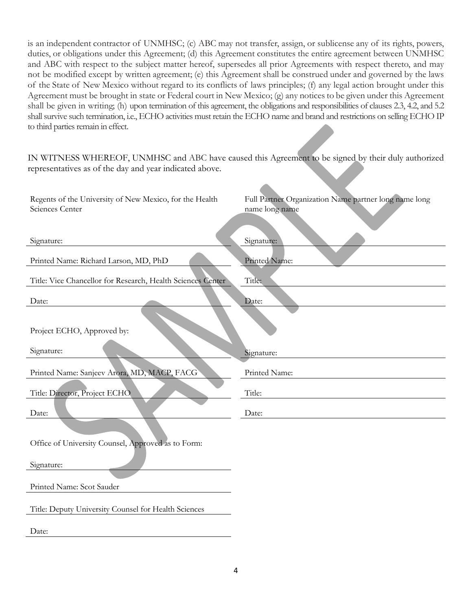is an independent contractor of UNMHSC; (c) ABC may not transfer, assign, or sublicense any of its rights, powers, duties, or obligations under this Agreement; (d) this Agreement constitutes the entire agreement between UNMHSC and ABC with respect to the subject matter hereof, supersedes all prior Agreements with respect thereto, and may not be modified except by written agreement; (e) this Agreement shall be construed under and governed by the laws of the State of New Mexico without regard to its conflicts of laws principles; (f) any legal action brought under this Agreement must be brought in state or Federal court in New Mexico; (g) any notices to be given under this Agreement shall be given in writing; (h) upon termination of this agreement, the obligations and responsibilities of clauses 2.3, 4.2, and 5.2 shall survive such termination, i.e., ECHO activities must retain the ECHO name and brand and restrictions on selling ECHO IP to third parties remain in effect.

IN WITNESS WHEREOF, UNMHSC and ABC have caused this Agreement to be signed by their duly authorized representatives as of the day and year indicated above.

| Regents of the University of New Mexico, for the Health<br>Sciences Center | Full Partner Organization Name partner long name long<br>name long name |
|----------------------------------------------------------------------------|-------------------------------------------------------------------------|
| Signature:                                                                 | Signature:                                                              |
| Printed Name: Richard Larson, MD, PhD                                      | Printed Name:                                                           |
| Title: Vice Chancellor for Research, Health Sciences Center                | Title:                                                                  |
| Date:                                                                      | Date:                                                                   |
| Project ECHO, Approved by:                                                 |                                                                         |
| Signature:                                                                 | Signature:                                                              |
| Printed Name: Sanjeev Arora, MD, MACP, FACG                                | Printed Name:                                                           |
| Title: Director, Project ECHO                                              | Title:                                                                  |
| Date:                                                                      | Date:                                                                   |
|                                                                            |                                                                         |
| Office of University Counsel, Approved as to Form:                         |                                                                         |
| Signature:                                                                 |                                                                         |
| Printed Name: Scot Sauder                                                  |                                                                         |
| Title: Deputy University Counsel for Health Sciences                       |                                                                         |
| Date:                                                                      |                                                                         |
|                                                                            |                                                                         |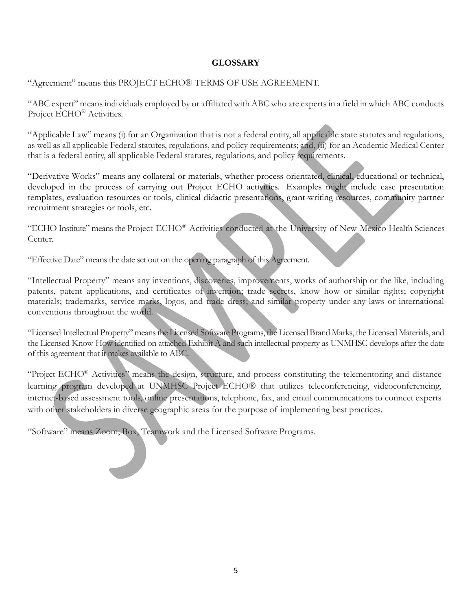# **GLOSSARY**

"Agreement" means this PROJECT ECHO® TERMS OF USE AGREEMENT.

"ABC expert" means individuals employed by or affiliated with ABC who are experts in a field in which ABC conducts Project ECHO<sup>®</sup> Activities.

"Applicable Law" means (i) for an Organization that is not a federal entity, all applicable state statutes and regulations, as well as all applicable Federal statutes, regulations, and policy requirements; and, (ii) for an Academic Medical Center that is a federal entity, all applicable Federal statutes, regulations, and policy requirements.

"Derivative Works" means any collateral or materials, whether process-orientated, clinical, educational or technical, developed in the process of carrying out Project ECHO activities. Examples might include case presentation templates, evaluation resources or tools, clinical didactic presentations, grant-writing resources, community partner recruitment strategies or tools, etc.

"ECHO Institute" means the Project ECHO® Activities conducted at the University of New Mexico Health Sciences Center.

"Effective Date" means the date set out on the opening paragraph of this Agreement.

"Intellectual Property" means any inventions, discoveries, improvements, works of authorship or the like, including patents, patent applications, and certificates of invention; trade secrets, know how or similar rights; copyright materials; trademarks, service marks, logos, and trade dress; and similar property under any laws or international conventions throughout the world.

"Licensed Intellectual Property" means the Licensed Software Programs, the Licensed Brand Marks, the Licensed Materials, and the Licensed Know-How identified on attached Exhibit A and such intellectual property as UNMHSC develops after the date of this agreement that it makes available to ABC.

"Project ECHO® Activities" means the design, structure, and process constituting the telementoring and distance learning program developed at UNMHSC Project ECHO® that utilizes teleconferencing, videoconferencing, internet-based assessment tools, online presentations, telephone, fax, and email communications to connect experts with other stakeholders in diverse geographic areas for the purpose of implementing best practices.

"Software" means Zoom, Box, Teamwork and the Licensed Software Programs.